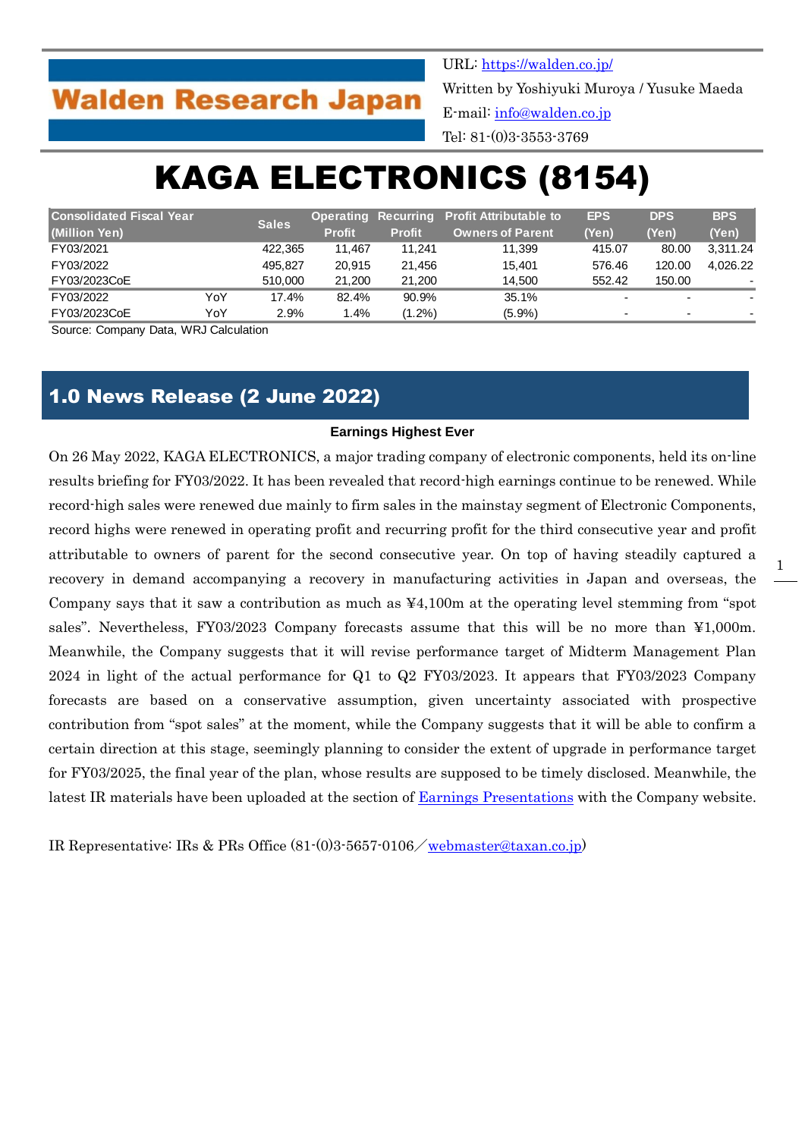## **Walden Research Japan**

URL:<https://walden.co.jp/>

Written by Yoshiyuki Muroya / Yusuke Maeda E-mail: [info@walden.co.jp](mailto:info@walden.co.jp)

Tel: 81-(0)3-3553-3769

# KAGA ELECTRONICS (8154)

| <b>Consolidated Fiscal Year</b><br>(Million Yen) |     | <b>Sales</b> |               | <b>Operating Recurring</b> | <b>Profit Attributable to</b> | <b>EPS</b> | <b>DPS</b>               | <b>BPS</b> |
|--------------------------------------------------|-----|--------------|---------------|----------------------------|-------------------------------|------------|--------------------------|------------|
|                                                  |     |              | <b>Profit</b> | <b>Profit</b>              | <b>Owners of Parent</b>       | (Yen)      | (Yen)                    | (Yen)      |
| FY03/2021                                        |     | 422.365      | 11.467        | 11.241                     | 11.399                        | 415.07     | 80.00                    | 3.311.24   |
| FY03/2022                                        |     | 495.827      | 20.915        | 21.456                     | 15.401                        | 576.46     | 120.00                   | 4.026.22   |
| FY03/2023CoE                                     |     | 510.000      | 21.200        | 21.200                     | 14.500                        | 552.42     | 150.00                   | ۰          |
| FY03/2022                                        | YoY | 17.4%        | 82.4%         | 90.9%                      | 35.1%                         |            | $\overline{\phantom{0}}$ |            |
| FY03/2023CoE                                     | YoY | 2.9%         | 1.4%          | $(1.2\%)$                  | $(5.9\%)$                     | -          | -                        |            |

Source: Company Data, WRJ Calculation

### 1.0 News Release (2 June 2022)

#### **Earnings Highest Ever**

On 26 May 2022, KAGA ELECTRONICS, a major trading company of electronic components, held its on-line results briefing for FY03/2022. It has been revealed that record-high earnings continue to be renewed. While record-high sales were renewed due mainly to firm sales in the mainstay segment of Electronic Components, record highs were renewed in operating profit and recurring profit for the third consecutive year and profit attributable to owners of parent for the second consecutive year. On top of having steadily captured a recovery in demand accompanying a recovery in manufacturing activities in Japan and overseas, the Company says that it saw a contribution as much as  $\frac{44,100m}{100}$  at the operating level stemming from "spot" sales". Nevertheless, FY03/2023 Company forecasts assume that this will be no more than ¥1,000m. Meanwhile, the Company suggests that it will revise performance target of Midterm Management Plan 2024 in light of the actual performance for Q1 to Q2 FY03/2023. It appears that FY03/2023 Company forecasts are based on a conservative assumption, given uncertainty associated with prospective contribution from "spot sales" at the moment, while the Company suggests that it will be able to confirm a certain direction at this stage, seemingly planning to consider the extent of upgrade in performance target for FY03/2025, the final year of the plan, whose results are supposed to be timely disclosed. Meanwhile, the latest IR materials have been uploaded at the section of [Earnings Presentations](https://www.taxan.co.jp/en/ir/event/event_01.html) with the Company website.

IR Representative: IRs & PRs Office (81-(0)3-5657-0106/[webmaster@taxan.co.jp\)](mailto:webmaster@taxan.co.jp)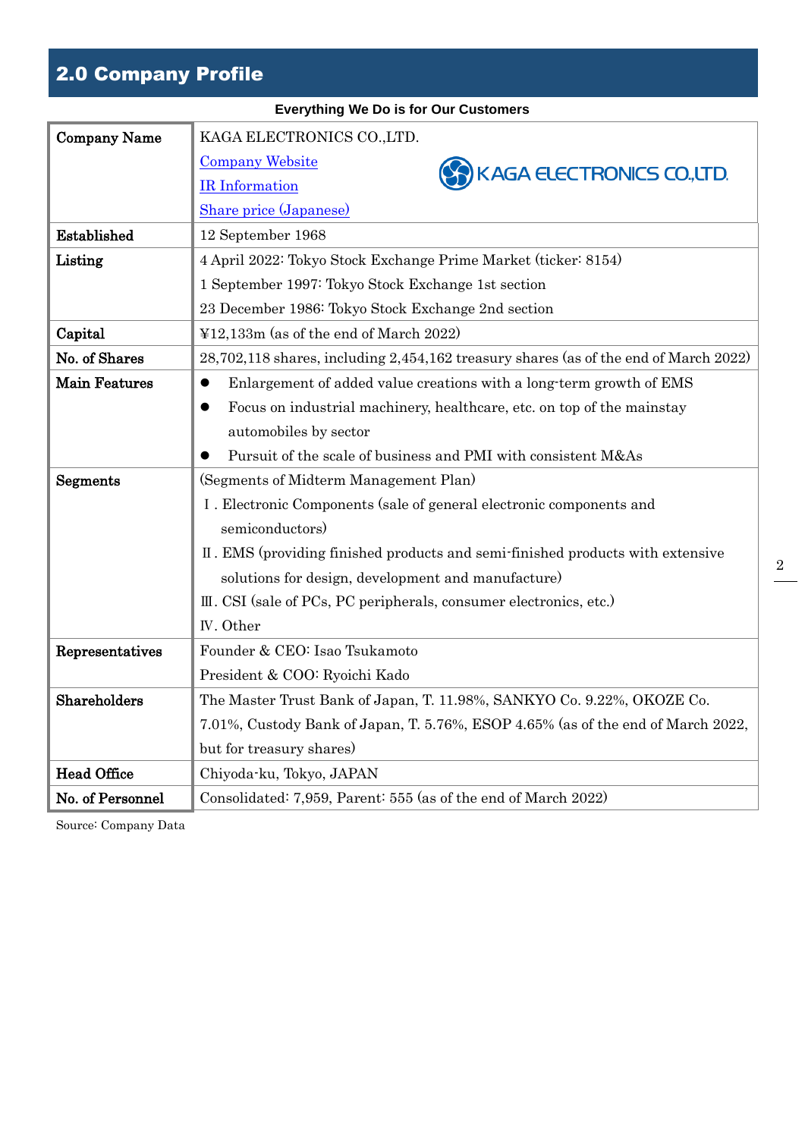## 2.0 Company Profile

|                      | <b>Everything We Do is for Our Customers</b>                                         |
|----------------------|--------------------------------------------------------------------------------------|
| <b>Company Name</b>  | KAGA ELECTRONICS CO., LTD.                                                           |
|                      | <b>Company Website</b><br>KAGA ELECTRONICS CO.,LTD.                                  |
|                      | <b>IR</b> Information                                                                |
|                      | Share price (Japanese)                                                               |
| Established          | 12 September 1968                                                                    |
| Listing              | 4 April 2022: Tokyo Stock Exchange Prime Market (ticker: 8154)                       |
|                      | 1 September 1997: Tokyo Stock Exchange 1st section                                   |
|                      | 23 December 1986: Tokyo Stock Exchange 2nd section                                   |
| Capital              | $\text{\textsterling}12,133m$ (as of the end of March 2022)                          |
| No. of Shares        | 28,702,118 shares, including 2,454,162 treasury shares (as of the end of March 2022) |
| <b>Main Features</b> | Enlargement of added value creations with a long-term growth of EMS<br>$\bullet$     |
|                      | Focus on industrial machinery, healthcare, etc. on top of the mainstay<br>$\bullet$  |
|                      | automobiles by sector                                                                |
|                      | Pursuit of the scale of business and PMI with consistent M&As                        |
| Segments             | (Segments of Midterm Management Plan)                                                |
|                      | I. Electronic Components (sale of general electronic components and                  |
|                      | semiconductors)                                                                      |
|                      | II. EMS (providing finished products and semi-finished products with extensive       |
|                      | solutions for design, development and manufacture)                                   |
|                      | III. CSI (sale of PCs, PC peripherals, consumer electronics, etc.)                   |
|                      | IV. Other                                                                            |
| Representatives      | Founder & CEO: Isao Tsukamoto                                                        |
|                      | President & COO: Ryoichi Kado                                                        |
| Shareholders         | The Master Trust Bank of Japan, T. 11.98%, SANKYO Co. 9.22%, OKOZE Co.               |
|                      | 7.01%, Custody Bank of Japan, T. 5.76%, ESOP 4.65% (as of the end of March 2022,     |
|                      | but for treasury shares)                                                             |
| <b>Head Office</b>   | Chiyoda-ku, Tokyo, JAPAN                                                             |
| No. of Personnel     | Consolidated: 7,959, Parent: 555 (as of the end of March 2022)                       |

2

Source: Company Data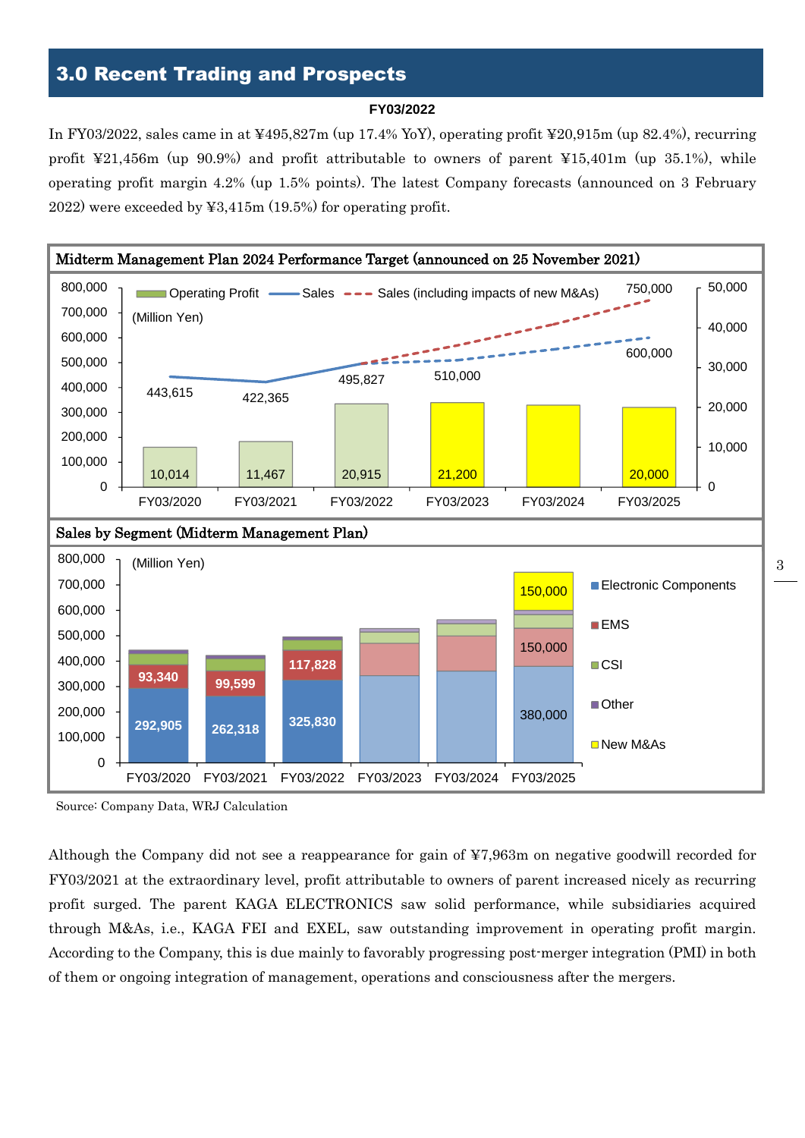## 3.0 Recent Trading and Prospects

#### **FY03/2022**

In FY03/2022, sales came in at ¥495,827m (up 17.4% YoY), operating profit ¥20,915m (up 82.4%), recurring profit ¥21,456m (up 90.9%) and profit attributable to owners of parent ¥15,401m (up 35.1%), while operating profit margin 4.2% (up 1.5% points). The latest Company forecasts (announced on 3 February 2022) were exceeded by ¥3,415m (19.5%) for operating profit.



Source: Company Data, WRJ Calculation

Although the Company did not see a reappearance for gain of ¥7,963m on negative goodwill recorded for FY03/2021 at the extraordinary level, profit attributable to owners of parent increased nicely as recurring profit surged. The parent KAGA ELECTRONICS saw solid performance, while subsidiaries acquired through M&As, i.e., KAGA FEI and EXEL, saw outstanding improvement in operating profit margin. According to the Company, this is due mainly to favorably progressing post-merger integration (PMI) in both of them or ongoing integration of management, operations and consciousness after the mergers.

3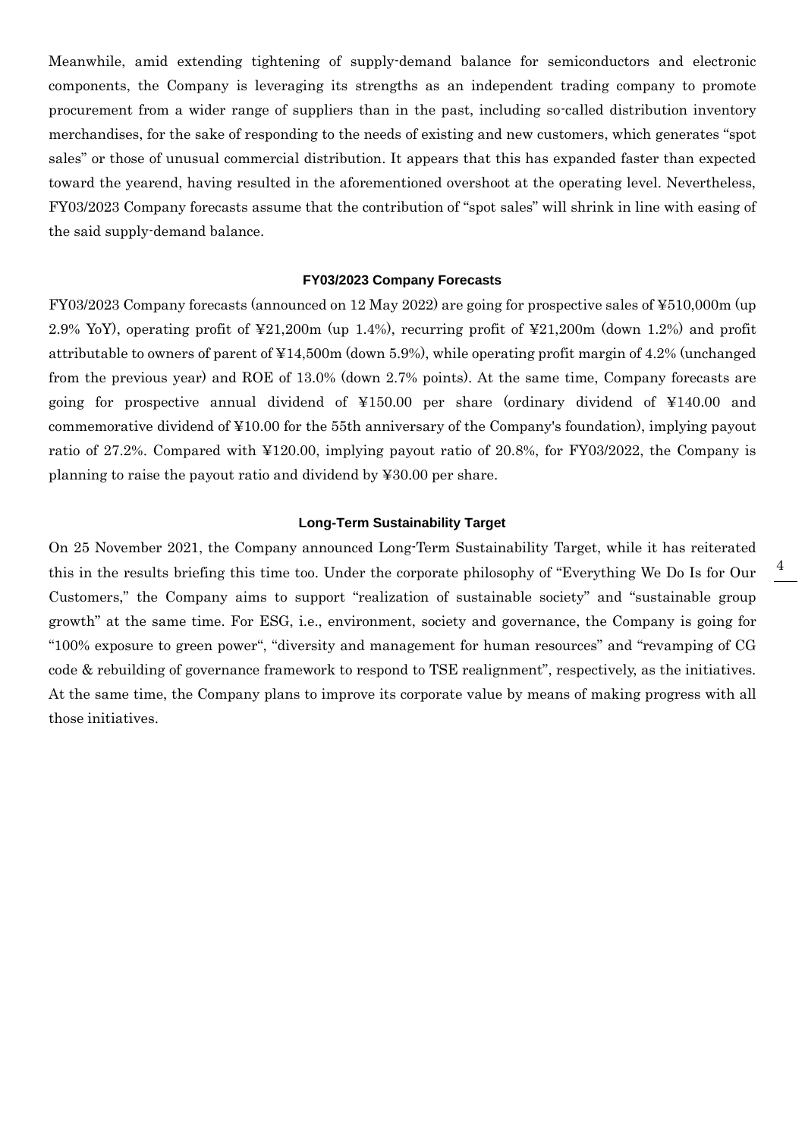Meanwhile, amid extending tightening of supply-demand balance for semiconductors and electronic components, the Company is leveraging its strengths as an independent trading company to promote procurement from a wider range of suppliers than in the past, including so-called distribution inventory merchandises, for the sake of responding to the needs of existing and new customers, which generates "spot sales" or those of unusual commercial distribution. It appears that this has expanded faster than expected toward the yearend, having resulted in the aforementioned overshoot at the operating level. Nevertheless, FY03/2023 Company forecasts assume that the contribution of "spot sales" will shrink in line with easing of the said supply-demand balance.

#### **FY03/2023 Company Forecasts**

FY03/2023 Company forecasts (announced on 12 May 2022) are going for prospective sales of ¥510,000m (up 2.9% YoY), operating profit of ¥21,200m (up 1.4%), recurring profit of ¥21,200m (down 1.2%) and profit attributable to owners of parent of ¥14,500m (down 5.9%), while operating profit margin of 4.2% (unchanged from the previous year) and ROE of 13.0% (down 2.7% points). At the same time, Company forecasts are going for prospective annual dividend of ¥150.00 per share (ordinary dividend of ¥140.00 and commemorative dividend of ¥10.00 for the 55th anniversary of the Company's foundation), implying payout ratio of 27.2%. Compared with ¥120.00, implying payout ratio of 20.8%, for FY03/2022, the Company is planning to raise the payout ratio and dividend by ¥30.00 per share.

#### **Long-Term Sustainability Target**

On 25 November 2021, the Company announced Long-Term Sustainability Target, while it has reiterated this in the results briefing this time too. Under the corporate philosophy of "Everything We Do Is for Our Customers," the Company aims to support "realization of sustainable society" and "sustainable group growth" at the same time. For ESG, i.e., environment, society and governance, the Company is going for "100% exposure to green power", "diversity and management for human resources" and "revamping of CG code & rebuilding of governance framework to respond to TSE realignment", respectively, as the initiatives. At the same time, the Company plans to improve its corporate value by means of making progress with all those initiatives.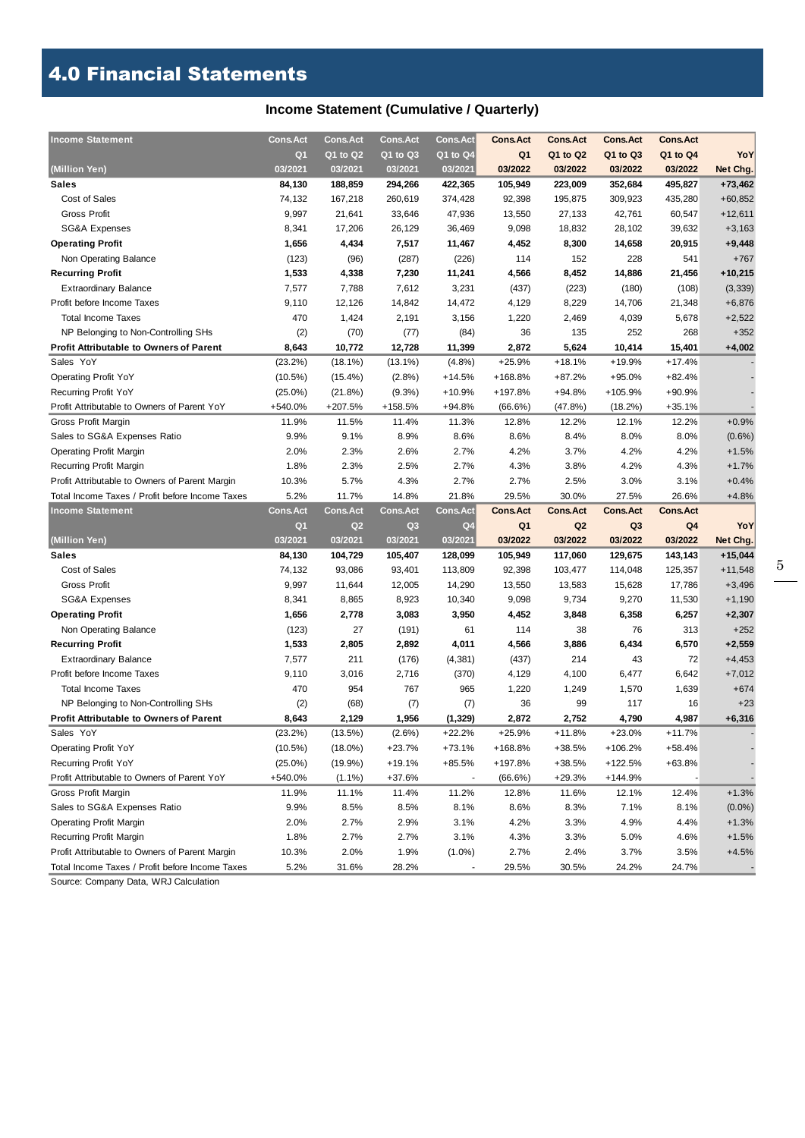## 4.0 Financial Statements

## **Income Statement (Cumulative / Quarterly)**

| <b>Income Statement</b>                         | <b>Cons.Act</b> | <b>Cons.Act</b> | <b>Cons.Act</b> | <b>Cons.Act</b> | <b>Cons.Act</b> | <b>Cons.Act</b> | <b>Cons.Act</b> | <b>Cons.Act</b> |           |
|-------------------------------------------------|-----------------|-----------------|-----------------|-----------------|-----------------|-----------------|-----------------|-----------------|-----------|
|                                                 | Q <sub>1</sub>  | Q1 to Q2        | Q1 to Q3        | Q1 to Q4        | Q <sub>1</sub>  | Q1 to Q2        | Q1 to Q3        | Q1 to Q4        | YoY       |
| (Million Yen)                                   | 03/2021         | 03/2021         | 03/2021         | 03/2021         | 03/2022         | 03/2022         | 03/2022         | 03/2022         | Net Chg.  |
| Sales                                           | 84,130          | 188,859         | 294,266         | 422,365         | 105,949         | 223,009         | 352,684         | 495,827         | $+73,462$ |
| Cost of Sales                                   | 74,132          | 167,218         | 260,619         | 374,428         | 92,398          | 195,875         | 309,923         | 435,280         | $+60,852$ |
| <b>Gross Profit</b>                             | 9,997           | 21,641          | 33,646          | 47,936          | 13,550          | 27,133          | 42,761          | 60,547          | $+12,611$ |
| <b>SG&amp;A Expenses</b>                        | 8,341           | 17,206          | 26,129          | 36,469          | 9,098           | 18,832          | 28,102          | 39,632          | $+3,163$  |
| <b>Operating Profit</b>                         | 1,656           | 4,434           | 7,517           | 11,467          | 4,452           | 8,300           | 14,658          | 20,915          | $+9,448$  |
| Non Operating Balance                           | (123)           | (96)            | (287)           | (226)           | 114             | 152             | 228             | 541             | $+767$    |
| <b>Recurring Profit</b>                         | 1,533           | 4,338           | 7,230           | 11,241          | 4,566           | 8,452           | 14,886          | 21,456          | $+10,215$ |
| <b>Extraordinary Balance</b>                    | 7,577           | 7,788           | 7,612           | 3,231           | (437)           | (223)           | (180)           | (108)           | (3, 339)  |
| Profit before Income Taxes                      | 9,110           | 12,126          | 14,842          | 14,472          | 4,129           | 8,229           | 14,706          | 21,348          | $+6,876$  |
| <b>Total Income Taxes</b>                       | 470             | 1,424           | 2,191           | 3,156           | 1,220           | 2,469           | 4,039           | 5,678           | $+2,522$  |
| NP Belonging to Non-Controlling SHs             | (2)             | (70)            | (77)            | (84)            | 36              | 135             | 252             | 268             | $+352$    |
| <b>Profit Attributable to Owners of Parent</b>  | 8,643           | 10,772          | 12,728          | 11,399          | 2,872           | 5,624           | 10,414          | 15,401          | $+4,002$  |
| Sales YoY                                       | (23.2%)         | (18.1%)         | $(13.1\%)$      | $(4.8\%)$       | $+25.9%$        | $+18.1%$        | +19.9%          | $+17.4%$        |           |
| <b>Operating Profit YoY</b>                     | $(10.5\%)$      | $(15.4\%)$      | $(2.8\%)$       | $+14.5%$        | +168.8%         | $+87.2%$        | $+95.0%$        | $+82.4%$        |           |
| Recurring Profit YoY                            | $(25.0\%)$      | (21.8%)         | (9.3%)          | +10.9%          | +197.8%         | +94.8%          | +105.9%         | +90.9%          |           |
| Profit Attributable to Owners of Parent YoY     | +540.0%         | +207.5%         | +158.5%         | $+94.8%$        | (66.6%)         | (47.8%)         | (18.2%)         | $+35.1%$        |           |
| Gross Profit Margin                             | 11.9%           | 11.5%           | 11.4%           | 11.3%           | 12.8%           | 12.2%           | 12.1%           | 12.2%           | $+0.9%$   |
| Sales to SG&A Expenses Ratio                    | 9.9%            | 9.1%            | 8.9%            | 8.6%            | 8.6%            | 8.4%            | 8.0%            | 8.0%            | $(0.6\%)$ |
| <b>Operating Profit Margin</b>                  | 2.0%            | 2.3%            | 2.6%            | 2.7%            | 4.2%            | 3.7%            | 4.2%            | 4.2%            | $+1.5%$   |
| Recurring Profit Margin                         | 1.8%            | 2.3%            | 2.5%            | 2.7%            | 4.3%            | 3.8%            | 4.2%            | 4.3%            | $+1.7%$   |
| Profit Attributable to Owners of Parent Margin  | 10.3%           | 5.7%            | 4.3%            | 2.7%            | 2.7%            | 2.5%            | 3.0%            | 3.1%            | $+0.4%$   |
| Total Income Taxes / Profit before Income Taxes | 5.2%            | 11.7%           | 14.8%           | 21.8%           | 29.5%           | 30.0%           | 27.5%           | 26.6%           | $+4.8%$   |
|                                                 |                 |                 |                 |                 |                 |                 |                 |                 |           |
| <b>Income Statement</b>                         | <b>Cons.Act</b> | <b>Cons.Act</b> | <b>Cons.Act</b> | <b>Cons.Act</b> | <b>Cons.Act</b> | <b>Cons.Act</b> | <b>Cons.Act</b> | <b>Cons.Act</b> |           |
|                                                 | Q <sub>1</sub>  | Q2              | Q <sub>3</sub>  | Q4              | Q <sub>1</sub>  | Q <sub>2</sub>  | Q <sub>3</sub>  | Q4              | YoY       |
| (Million Yen)                                   | 03/2021         | 03/2021         | 03/2021         | 03/2021         | 03/2022         | 03/2022         | 03/2022         | 03/2022         | Net Chg.  |
| <b>Sales</b>                                    | 84,130          | 104,729         | 105,407         | 128,099         | 105,949         | 117,060         | 129,675         | 143,143         | $+15,044$ |
| Cost of Sales                                   | 74,132          | 93,086          | 93,401          | 113,809         | 92,398          | 103,477         | 114,048         | 125,357         | $+11,548$ |
| <b>Gross Profit</b>                             | 9,997           | 11,644          | 12,005          | 14,290          | 13,550          | 13,583          | 15,628          | 17,786          | $+3,496$  |
| SG&A Expenses                                   | 8,341           | 8,865           | 8,923           | 10,340          | 9,098           | 9,734           | 9,270           | 11,530          | $+1,190$  |
| <b>Operating Profit</b>                         | 1,656           | 2,778           | 3,083           | 3,950           | 4,452           | 3,848           | 6,358           | 6,257           | $+2,307$  |
| Non Operating Balance                           | (123)           | 27              | (191)           | 61              | 114             | 38              | 76              | 313             | $+252$    |
| <b>Recurring Profit</b>                         | 1,533           | 2,805           | 2,892           | 4,011           | 4,566           | 3,886           | 6,434           | 6,570           | $+2,559$  |
| <b>Extraordinary Balance</b>                    | 7,577           | 211             | (176)           | (4, 381)        | (437)           | 214             | 43              | 72              | $+4,453$  |
| Profit before Income Taxes                      | 9,110           | 3,016           | 2,716           | (370)           | 4,129           | 4,100           | 6,477           | 6,642           | $+7,012$  |
| <b>Total Income Taxes</b>                       | 470             | 954             | 767             | 965             | 1,220           | 1,249           | 1,570           | 1,639           | $+674$    |
| NP Belonging to Non-Controlling SHs             | (2)             | (68)            | (7)             | (7)             | 36              | 99              | 117             | 16              | $+23$     |
| <b>Profit Attributable to Owners of Parent</b>  | 8,643           | 2,129           | 1,956           | (1, 329)        | 2,872           | 2,752           | 4,790           | 4,987           | $+6,316$  |
| Sales YoY                                       | (23.2%)         | (13.5%)         | $(2.6\%)$       | $+22.2%$        | $+25.9%$        | $+11.8%$        | $+23.0%$        | $+11.7%$        |           |
| <b>Operating Profit YoY</b>                     | $(10.5\%)$      | $(18.0\%)$      | $+23.7%$        | +73.1%          | +168.8%         | +38.5%          | +106.2%         | $+58.4%$        |           |
| <b>Recurring Profit YoY</b>                     | $(25.0\%)$      | $(19.9\%)$      | $+19.1%$        | +85.5%          | +197.8%         | +38.5%          | +122.5%         | $+63.8%$        |           |
| Profit Attributable to Owners of Parent YoY     | +540.0%         | $(1.1\%)$       | $+37.6%$        |                 | (66.6%)         | $+29.3%$        | $+144.9%$       |                 |           |
| Gross Profit Margin                             | 11.9%           | 11.1%           | 11.4%           | 11.2%           | 12.8%           | 11.6%           | 12.1%           | 12.4%           | $+1.3%$   |
| Sales to SG&A Expenses Ratio                    | 9.9%            | 8.5%            | 8.5%            | 8.1%            | 8.6%            | 8.3%            | 7.1%            | 8.1%            | $(0.0\%)$ |
| <b>Operating Profit Margin</b>                  | 2.0%            | 2.7%            | 2.9%            | 3.1%            | 4.2%            | 3.3%            | 4.9%            | 4.4%            | $+1.3%$   |
| Recurring Profit Margin                         | 1.8%            | 2.7%            | 2.7%            | 3.1%            | 4.3%            | 3.3%            | 5.0%            | 4.6%            | $+1.5%$   |
| Profit Attributable to Owners of Parent Margin  | 10.3%           | 2.0%            | 1.9%            | $(1.0\%)$       | 2.7%            | 2.4%            | 3.7%            | 3.5%            | $+4.5%$   |

Source: Company Data, WRJ Calculation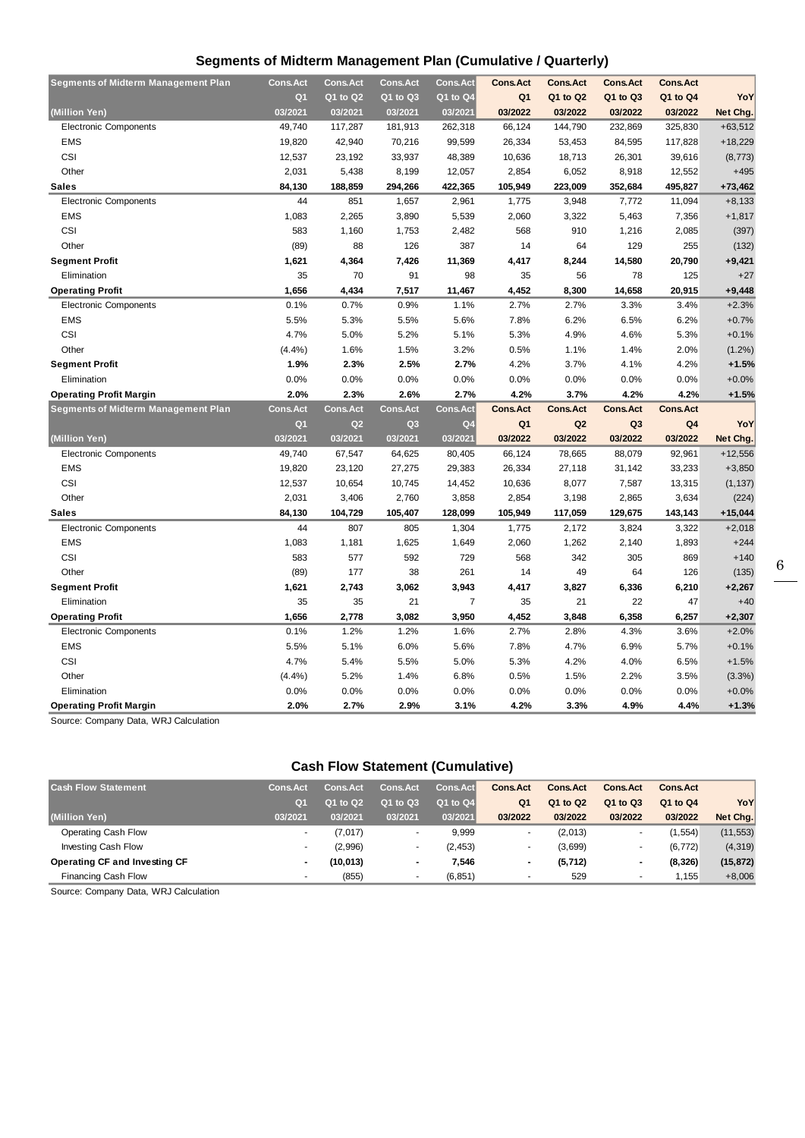### **Segments of Midterm Management Plan (Cumulative / Quarterly)**

| <b>Segments of Midterm Management Plan</b> | <b>Cons.Act</b> | <b>Cons.Act</b> | <b>Cons.Act</b> | Cons.Act        | <b>Cons.Act</b> | <b>Cons.Act</b> | <b>Cons.Act</b> | <b>Cons.Act</b> |           |
|--------------------------------------------|-----------------|-----------------|-----------------|-----------------|-----------------|-----------------|-----------------|-----------------|-----------|
|                                            | Q <sub>1</sub>  | Q1 to Q2        | Q1 to Q3        | Q1 to Q4        | Q <sub>1</sub>  | Q1 to Q2        | Q1 to Q3        | Q1 to Q4        | YoY       |
| (Million Yen)                              | 03/2021         | 03/2021         | 03/2021         | 03/2021         | 03/2022         | 03/2022         | 03/2022         | 03/2022         | Net Chg.  |
| <b>Electronic Components</b>               | 49,740          | 117,287         | 181,913         | 262,318         | 66,124          | 144,790         | 232,869         | 325,830         | $+63,512$ |
| <b>EMS</b>                                 | 19,820          | 42,940          | 70,216          | 99,599          | 26,334          | 53,453          | 84,595          | 117,828         | $+18,229$ |
| CSI                                        | 12,537          | 23,192          | 33,937          | 48,389          | 10,636          | 18,713          | 26,301          | 39,616          | (8, 773)  |
| Other                                      | 2,031           | 5,438           | 8,199           | 12,057          | 2,854           | 6,052           | 8,918           | 12,552          | $+495$    |
| <b>Sales</b>                               | 84,130          | 188,859         | 294,266         | 422,365         | 105,949         | 223,009         | 352,684         | 495,827         | $+73,462$ |
| <b>Electronic Components</b>               | 44              | 851             | 1,657           | 2,961           | 1,775           | 3,948           | 7,772           | 11,094          | $+8,133$  |
| <b>EMS</b>                                 | 1,083           | 2,265           | 3,890           | 5,539           | 2,060           | 3,322           | 5,463           | 7,356           | $+1,817$  |
| CSI                                        | 583             | 1,160           | 1,753           | 2,482           | 568             | 910             | 1,216           | 2,085           | (397)     |
| Other                                      | (89)            | 88              | 126             | 387             | 14              | 64              | 129             | 255             | (132)     |
| <b>Segment Profit</b>                      | 1,621           | 4,364           | 7,426           | 11,369          | 4,417           | 8,244           | 14,580          | 20,790          | $+9,421$  |
| Elimination                                | 35              | 70              | 91              | 98              | 35              | 56              | 78              | 125             | $+27$     |
| <b>Operating Profit</b>                    | 1,656           | 4,434           | 7,517           | 11,467          | 4,452           | 8,300           | 14,658          | 20,915          | $+9,448$  |
| <b>Electronic Components</b>               | 0.1%            | 0.7%            | 0.9%            | 1.1%            | 2.7%            | 2.7%            | 3.3%            | 3.4%            | $+2.3%$   |
| EMS                                        | 5.5%            | 5.3%            | 5.5%            | 5.6%            | 7.8%            | 6.2%            | 6.5%            | 6.2%            | $+0.7%$   |
| CSI                                        | 4.7%            | 5.0%            | 5.2%            | 5.1%            | 5.3%            | 4.9%            | 4.6%            | 5.3%            | $+0.1%$   |
| Other                                      | (4.4%)          | 1.6%            | 1.5%            | 3.2%            | 0.5%            | 1.1%            | 1.4%            | 2.0%            | $(1.2\%)$ |
| <b>Segment Profit</b>                      | 1.9%            | 2.3%            | 2.5%            | 2.7%            | 4.2%            | 3.7%            | 4.1%            | 4.2%            | $+1.5%$   |
| Elimination                                | 0.0%            | 0.0%            | 0.0%            | 0.0%            | 0.0%            | 0.0%            | 0.0%            | 0.0%            | $+0.0%$   |
| <b>Operating Profit Margin</b>             | 2.0%            | 2.3%            | 2.6%            | 2.7%            | 4.2%            | 3.7%            | 4.2%            | 4.2%            | $+1.5%$   |
| <b>Segments of Midterm Management Plan</b> | <b>Cons.Act</b> | <b>Cons.Act</b> | <b>Cons.Act</b> | <b>Cons.Act</b> | <b>Cons.Act</b> | <b>Cons.Act</b> | <b>Cons.Act</b> | <b>Cons.Act</b> |           |
|                                            |                 |                 |                 |                 |                 |                 |                 |                 |           |
|                                            | Q <sub>1</sub>  | Q2              | Q <sub>3</sub>  | Q <sub>4</sub>  | Q1              | Q <sub>2</sub>  | Q <sub>3</sub>  | Q4              | YoY       |
| (Million Yen)                              | 03/2021         | 03/2021         | 03/2021         | 03/2021         | 03/2022         | 03/2022         | 03/2022         | 03/2022         | Net Chg.  |
| <b>Electronic Components</b>               | 49,740          | 67,547          | 64,625          | 80,405          | 66,124          | 78,665          | 88,079          | 92,961          | $+12,556$ |
| <b>EMS</b>                                 | 19,820          | 23,120          | 27,275          | 29,383          | 26,334          | 27,118          | 31,142          | 33,233          | $+3,850$  |
| CSI                                        | 12,537          | 10,654          | 10,745          | 14,452          | 10,636          | 8,077           | 7,587           | 13,315          | (1, 137)  |
| Other                                      | 2,031           | 3,406           | 2,760           | 3,858           | 2,854           | 3,198           | 2,865           | 3,634           | (224)     |
| <b>Sales</b>                               | 84,130          | 104,729         | 105,407         | 128,099         | 105,949         | 117,059         | 129,675         | 143,143         | $+15,044$ |
| <b>Electronic Components</b>               | 44              | 807             | 805             | 1,304           | 1,775           | 2,172           | 3,824           | 3,322           | $+2,018$  |
| <b>EMS</b>                                 | 1,083           | 1,181           | 1,625           | 1,649           | 2,060           | 1,262           | 2,140           | 1,893           | $+244$    |
| CSI                                        | 583             | 577             | 592             | 729             | 568             | 342             | 305             | 869             | $+140$    |
| Other                                      | (89)            | 177             | 38              | 261             | 14              | 49              | 64              | 126             | (135)     |
| <b>Segment Profit</b>                      | 1,621           | 2,743           | 3,062           | 3,943           | 4,417           | 3,827           | 6,336           | 6,210           | $+2,267$  |
| Elimination                                | 35              | 35              | 21              | $\overline{7}$  | 35              | 21              | 22              | 47              | $+40$     |
| <b>Operating Profit</b>                    | 1,656           | 2,778           | 3,082           | 3,950           | 4,452           | 3,848           | 6,358           | 6,257           | $+2,307$  |
| <b>Electronic Components</b>               | 0.1%            | 1.2%            | 1.2%            | 1.6%            | 2.7%            | 2.8%            | 4.3%            | 3.6%            | $+2.0%$   |
| EMS                                        | 5.5%            | 5.1%            | 6.0%            | 5.6%            | 7.8%            | 4.7%            | 6.9%            | 5.7%            | $+0.1%$   |
| CSI                                        | 4.7%            | 5.4%            | 5.5%            | 5.0%            | 5.3%            | 4.2%            | 4.0%            | 6.5%            | $+1.5%$   |
| Other                                      | (4.4%)          | 5.2%            | 1.4%            | 6.8%            | 0.5%            | 1.5%            | 2.2%            | 3.5%            | (3.3%)    |
| Elimination                                | 0.0%            | 0.0%            | 0.0%            | 0.0%            | 0.0%            | 0.0%            | 0.0%            | 0.0%            | $+0.0%$   |

Source: Company Data, WRJ Calculation

### **Cash Flow Statement (Cumulative)**

| <b>Cash Flow Statement</b>    | <b>Cons.Act</b> | <b>Cons.Act</b> | <b>Cons.Act</b>          | Cons.Act     | <b>Cons.Act</b>          | <b>Cons.Act</b> | <b>Cons.Act</b>          | <b>Cons.Act</b> |           |
|-------------------------------|-----------------|-----------------|--------------------------|--------------|--------------------------|-----------------|--------------------------|-----------------|-----------|
|                               | Q <sub>1</sub>  | Q1 to Q2        | Q1 to Q3                 | $Q1$ to $Q4$ | Q <sub>1</sub>           | Q1 to Q2        | Q1 to Q3                 | Q1 to Q4        | YoY       |
| (Million Yen)                 | 03/2021         | 03/2021         | 03/2021                  | 03/2021      | 03/2022                  | 03/2022         | 03/2022                  | 03/2022         | Net Chg.  |
| Operating Cash Flow           |                 | (7,017)         | ۰                        | 9,999        | ۰                        | (2,013)         |                          | (1, 554)        | (11, 553) |
| Investing Cash Flow           |                 | (2,996)         | $\overline{\phantom{a}}$ | (2, 453)     | ۰                        | (3,699)         |                          | (6.772)         | (4, 319)  |
| Operating CF and Investing CF | $\blacksquare$  | (10,013)        | $\,$                     | 7.546        | $\overline{\phantom{0}}$ | (5, 712)        |                          | (8,326)         | (15, 872) |
| Financing Cash Flow           |                 | (855)           | $\overline{\phantom{a}}$ | (6, 851)     | -                        | 529             | $\overline{\phantom{a}}$ | .155            | $+8,006$  |

Source: Company Data, WRJ Calculation